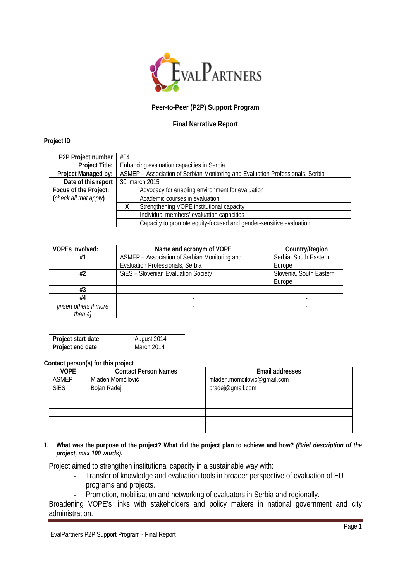

## **Peer-to-Peer (P2P) Support Program**

## **Final Narrative Report**

## **Project ID**

| P2P Project number     | #04                                                                            |                                                                    |  |
|------------------------|--------------------------------------------------------------------------------|--------------------------------------------------------------------|--|
| Project Title:         | Enhancing evaluation capacities in Serbia                                      |                                                                    |  |
| Project Managed by:    | ASMEP - Association of Serbian Monitoring and Evaluation Professionals, Serbia |                                                                    |  |
| Date of this report    | 30. march 2015                                                                 |                                                                    |  |
| Focus of the Project:  |                                                                                | Advocacy for enabling environment for evaluation                   |  |
| (check all that apply) |                                                                                | Academic courses in evaluation                                     |  |
|                        |                                                                                | Strengthening VOPE institutional capacity                          |  |
|                        |                                                                                | Individual members' evaluation capacities                          |  |
|                        |                                                                                | Capacity to promote equity-focused and gender-sensitive evaluation |  |

| <b>VOPEs involved:</b>        | Name and acronym of VOPE                      | Country/Region          |
|-------------------------------|-----------------------------------------------|-------------------------|
| #1                            | ASMEP - Association of Serbian Monitoring and | Serbia, South Eastern   |
|                               | Evaluation Professionals, Serbia              | Europe                  |
| #2                            | SiES - Slovenian Evaluation Society           | Slovenia, South Eastern |
|                               |                                               | Europe                  |
| #3                            |                                               |                         |
| #4                            |                                               |                         |
| <i>linsert others if more</i> |                                               |                         |
| than $4$ ]                    |                                               |                         |

| Project start date | August 2014 |
|--------------------|-------------|
| Project end date   | March 2014  |

## **Contact person(s) for this project**

| <b>VOPE</b>  | $\ddot{\phantom{1}}$<br><b>Contact Person Names</b> | Email addresses             |
|--------------|-----------------------------------------------------|-----------------------------|
| <b>ASMEP</b> | Mladen Momčilović                                   | mladen.momcilovic@gmail.com |
| <b>SiES</b>  | Bojan Radej                                         | bradej@gmail.com            |
|              |                                                     |                             |
|              |                                                     |                             |
|              |                                                     |                             |
|              |                                                     |                             |
|              |                                                     |                             |

**1. What was the purpose of the project? What did the project plan to achieve and how?** *(Brief description of the project, max 100 words).*

Project aimed to strengthen institutional capacity in a sustainable way with:

- Transfer of knowledge and evaluation tools in broader perspective of evaluation of EU programs and projects.
- Promotion, mobilisation and networking of evaluators in Serbia and regionally.

Broadening VOPE's links with stakeholders and policy makers in national government and city administration.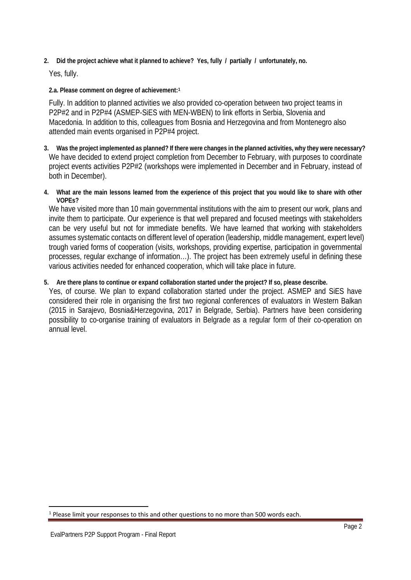**2. Did the project achieve what it planned to achieve? Yes, fully / partially / unfortunately, no.**

Yes, fully.

**2.a. Please comment on degree of achievement:[1](#page-1-0)**

Fully. In addition to planned activities we also provided co-operation between two project teams in P2P#2 and in P2P#4 (ASMEP-SiES with MEN-WBEN) to link efforts in Serbia, Slovenia and Macedonia. In addition to this, colleagues from Bosnia and Herzegovina and from Montenegro also attended main events organised in P2P#4 project.

- **3. Was the project implemented as planned? If there were changes in the planned activities, why they were necessary?** We have decided to extend project completion from December to February, with purposes to coordinate project events activities P2P#2 (workshops were implemented in December and in February, instead of both in December).
- **4. What are the main lessons learned from the experience of this project that you would like to share with other VOPEs?**

We have visited more than 10 main governmental institutions with the aim to present our work, plans and invite them to participate. Our experience is that well prepared and focused meetings with stakeholders can be very useful but not for immediate benefits. We have learned that working with stakeholders assumes systematic contacts on different level of operation (leadership, middle management, expert level) trough varied forms of cooperation (visits, workshops, providing expertise, participation in governmental processes, regular exchange of information…). The project has been extremely useful in defining these various activities needed for enhanced cooperation, which will take place in future.

**5. Are there plans to continue or expand collaboration started under the project? If so, please describe.**

Yes, of course. We plan to expand collaboration started under the project. ASMEP and SiES have considered their role in organising the first two regional conferences of evaluators in Western Balkan (2015 in Sarajevo, Bosnia&Herzegovina, 2017 in Belgrade, Serbia). Partners have been considering possibility to co-organise training of evaluators in Belgrade as a regular form of their co-operation on annual level.

 $\overline{a}$ 

<span id="page-1-0"></span><sup>&</sup>lt;sup>1</sup> Please limit your responses to this and other questions to no more than 500 words each.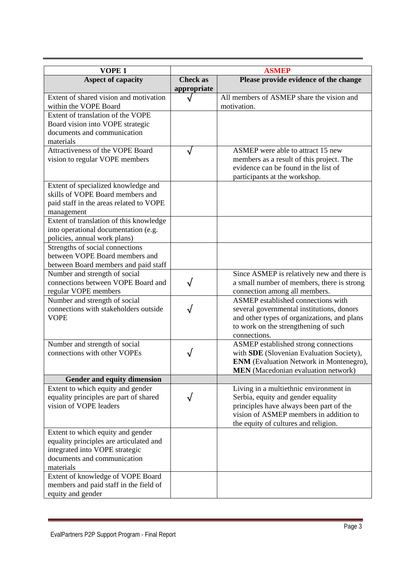| VOPE <sub>1</sub>                                                 |                 | <b>ASMEP</b>                                                                                 |
|-------------------------------------------------------------------|-----------------|----------------------------------------------------------------------------------------------|
| <b>Aspect of capacity</b>                                         | <b>Check as</b> | Please provide evidence of the change                                                        |
| Extent of shared vision and motivation                            | appropriate     | All members of ASMEP share the vision and                                                    |
| within the VOPE Board                                             |                 | motivation.                                                                                  |
| Extent of translation of the VOPE                                 |                 |                                                                                              |
| Board vision into VOPE strategic<br>documents and communication   |                 |                                                                                              |
| materials                                                         |                 |                                                                                              |
| Attractiveness of the VOPE Board                                  |                 | ASMEP were able to attract 15 new                                                            |
| vision to regular VOPE members                                    |                 | members as a result of this project. The                                                     |
|                                                                   |                 | evidence can be found in the list of                                                         |
|                                                                   |                 | participants at the workshop.                                                                |
| Extent of specialized knowledge and                               |                 |                                                                                              |
| skills of VOPE Board members and                                  |                 |                                                                                              |
| paid staff in the areas related to VOPE                           |                 |                                                                                              |
| management                                                        |                 |                                                                                              |
| Extent of translation of this knowledge                           |                 |                                                                                              |
| into operational documentation (e.g.                              |                 |                                                                                              |
| policies, annual work plans)                                      |                 |                                                                                              |
| Strengths of social connections<br>between VOPE Board members and |                 |                                                                                              |
| between Board members and paid staff                              |                 |                                                                                              |
| Number and strength of social                                     |                 | Since ASMEP is relatively new and there is                                                   |
| connections between VOPE Board and                                |                 | a small number of members, there is strong                                                   |
| regular VOPE members                                              |                 | connection among all members.                                                                |
| Number and strength of social                                     |                 | ASMEP established connections with                                                           |
| connections with stakeholders outside                             |                 | several governmental institutions, donors                                                    |
| <b>VOPE</b>                                                       |                 | and other types of organizations, and plans                                                  |
|                                                                   |                 | to work on the strengthening of such                                                         |
|                                                                   |                 | connections.                                                                                 |
| Number and strength of social                                     |                 | ASMEP established strong connections                                                         |
| connections with other VOPEs                                      |                 | with SDE (Slovenian Evaluation Society),                                                     |
|                                                                   |                 | <b>ENM</b> (Evaluation Network in Montenegro),<br><b>MEN</b> (Macedonian evaluation network) |
| Gender and equity dimension                                       |                 |                                                                                              |
| Extent to which equity and gender                                 |                 | Living in a multiethnic environment in                                                       |
| equality principles are part of shared                            |                 | Serbia, equity and gender equality                                                           |
| vision of VOPE leaders                                            |                 | principles have always been part of the                                                      |
|                                                                   |                 | vision of ASMEP members in addition to                                                       |
|                                                                   |                 | the equity of cultures and religion.                                                         |
| Extent to which equity and gender                                 |                 |                                                                                              |
| equality principles are articulated and                           |                 |                                                                                              |
| integrated into VOPE strategic                                    |                 |                                                                                              |
| documents and communication                                       |                 |                                                                                              |
| materials                                                         |                 |                                                                                              |
| Extent of knowledge of VOPE Board                                 |                 |                                                                                              |
| members and paid staff in the field of                            |                 |                                                                                              |
| equity and gender                                                 |                 |                                                                                              |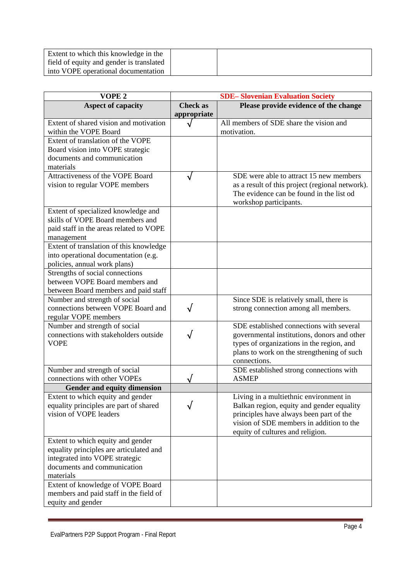| Extent to which this knowledge in the    |  |
|------------------------------------------|--|
| field of equity and gender is translated |  |
| into VOPE operational documentation      |  |

| VOPE <sub>2</sub>                                                   |                                | <b>SDE-Slovenian Evaluation Society</b>                                                                               |
|---------------------------------------------------------------------|--------------------------------|-----------------------------------------------------------------------------------------------------------------------|
| <b>Aspect of capacity</b>                                           | <b>Check as</b><br>appropriate | Please provide evidence of the change                                                                                 |
| Extent of shared vision and motivation<br>within the VOPE Board     |                                | All members of SDE share the vision and<br>motivation.                                                                |
| Extent of translation of the VOPE                                   |                                |                                                                                                                       |
| Board vision into VOPE strategic                                    |                                |                                                                                                                       |
| documents and communication                                         |                                |                                                                                                                       |
| materials<br>Attractiveness of the VOPE Board                       |                                | SDE were able to attract 15 new members                                                                               |
| vision to regular VOPE members                                      |                                | as a result of this project (regional network).<br>The evidence can be found in the list od<br>workshop participants. |
| Extent of specialized knowledge and                                 |                                |                                                                                                                       |
| skills of VOPE Board members and                                    |                                |                                                                                                                       |
| paid staff in the areas related to VOPE                             |                                |                                                                                                                       |
| management<br>Extent of translation of this knowledge               |                                |                                                                                                                       |
| into operational documentation (e.g.                                |                                |                                                                                                                       |
| policies, annual work plans)                                        |                                |                                                                                                                       |
| Strengths of social connections                                     |                                |                                                                                                                       |
| between VOPE Board members and                                      |                                |                                                                                                                       |
| between Board members and paid staff                                |                                |                                                                                                                       |
| Number and strength of social<br>connections between VOPE Board and |                                | Since SDE is relatively small, there is<br>strong connection among all members.                                       |
| regular VOPE members                                                |                                |                                                                                                                       |
| Number and strength of social                                       |                                | SDE established connections with several                                                                              |
| connections with stakeholders outside                               |                                | governmental institutions, donors and other                                                                           |
| <b>VOPE</b>                                                         |                                | types of organizations in the region, and                                                                             |
|                                                                     |                                | plans to work on the strengthening of such<br>connections.                                                            |
| Number and strength of social                                       |                                | SDE established strong connections with                                                                               |
| connections with other VOPEs                                        |                                | <b>ASMEP</b>                                                                                                          |
| Gender and equity dimension                                         |                                |                                                                                                                       |
| Extent to which equity and gender                                   |                                | Living in a multiethnic environment in                                                                                |
| equality principles are part of shared                              |                                | Balkan region, equity and gender equality                                                                             |
| vision of VOPE leaders                                              |                                | principles have always been part of the                                                                               |
|                                                                     |                                | vision of SDE members in addition to the                                                                              |
| Extent to which equity and gender                                   |                                | equity of cultures and religion.                                                                                      |
| equality principles are articulated and                             |                                |                                                                                                                       |
| integrated into VOPE strategic                                      |                                |                                                                                                                       |
| documents and communication                                         |                                |                                                                                                                       |
| materials                                                           |                                |                                                                                                                       |
| Extent of knowledge of VOPE Board                                   |                                |                                                                                                                       |
| members and paid staff in the field of                              |                                |                                                                                                                       |
| equity and gender                                                   |                                |                                                                                                                       |